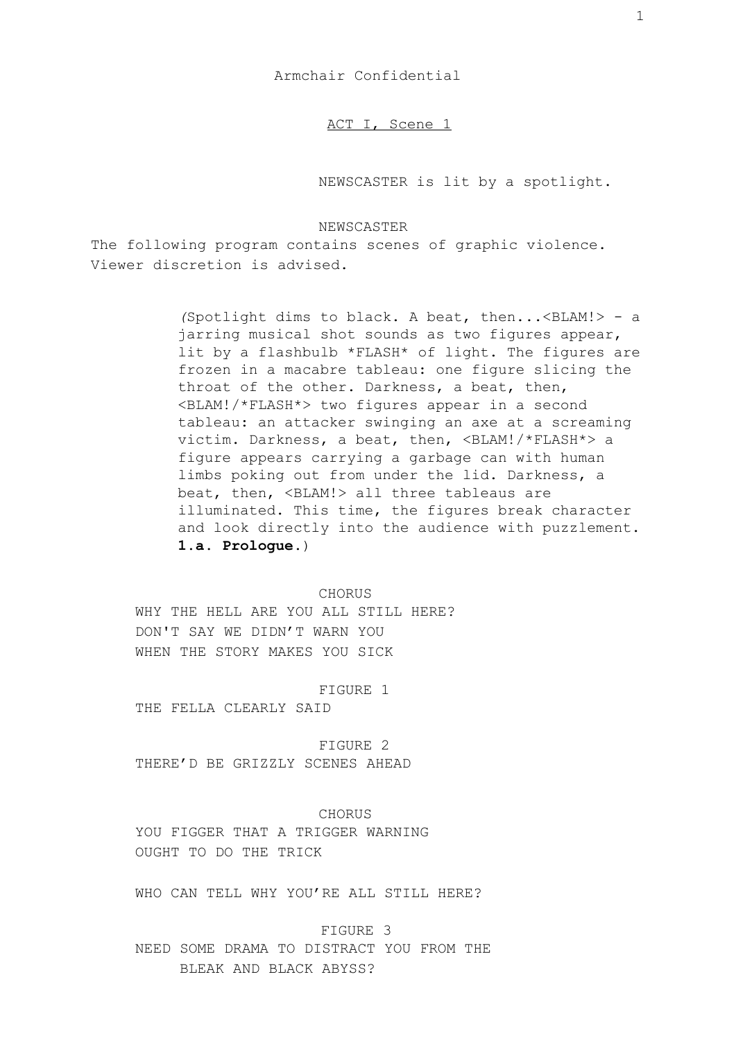Armchair Confidential

ACT I, Scene 1

NEWSCASTER is lit by a spotlight.

## NEWSCASTER

The following program contains scenes of graphic violence. Viewer discretion is advised.

> *(*Spotlight dims to black. A beat, then...<BLAM!> - a jarring musical shot sounds as two figures appear, lit by a flashbulb \*FLASH\* of light. The figures are frozen in a macabre tableau: one figure slicing the throat of the other. Darkness, a beat, then, <BLAM!/\*FLASH\*> two figures appear in a second tableau: an attacker swinging an axe at a screaming victim. Darkness, a beat, then, <BLAM!/\*FLASH\*> a figure appears carrying a garbage can with human limbs poking out from under the lid. Darkness, a beat, then, <BLAM!> all three tableaus are illuminated. This time, the figures break character and look directly into the audience with puzzlement. **1.a. Prologue.**)

## CHORUS

WHY THE HELL ARE YOU ALL STILL HERE? DON'T SAY WE DIDN'T WARN YOU WHEN THE STORY MAKES YOU SICK

#### FIGURE 1

THE FELLA CLEARLY SAID

FIGURE 2 THERE'D BE GRIZZLY SCENES AHEAD

CHORUS YOU FIGGER THAT A TRIGGER WARNING OUGHT TO DO THE TRICK

WHO CAN TELL WHY YOU'RE ALL STILL HERE?

FIGURE 3

NEED SOME DRAMA TO DISTRACT YOU FROM THE BLEAK AND BLACK ABYSS?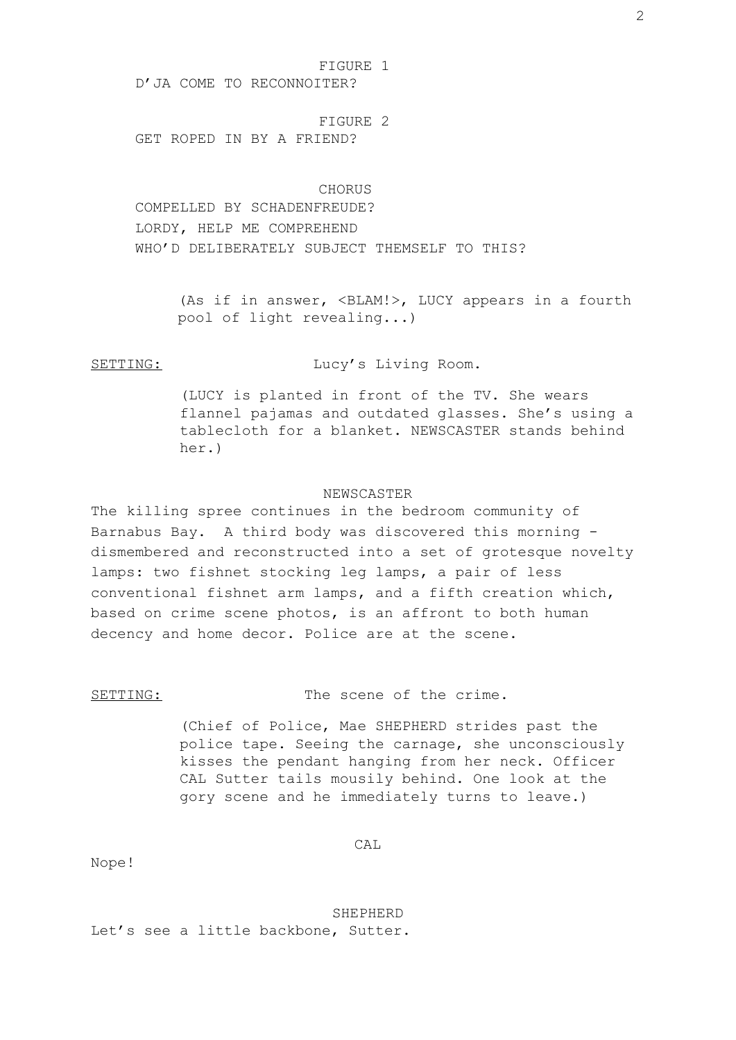FIGURE 1

D'JA COME TO RECONNOITER?

FIGURE 2 GET ROPED IN BY A FRIEND?

CHORUS COMPELLED BY SCHADENFREUDE? LORDY, HELP ME COMPREHEND WHO'D DELIBERATELY SUBJECT THEMSELF TO THIS?

> (As if in answer, <BLAM!>, LUCY appears in a fourth pool of light revealing...)

# SETTING: Lucy's Living Room.

(LUCY is planted in front of the TV. She wears flannel pajamas and outdated glasses. She's using a tablecloth for a blanket. NEWSCASTER stands behind her.)

## NEWSCASTER

The killing spree continues in the bedroom community of Barnabus Bay. A third body was discovered this morning dismembered and reconstructed into a set of grotesque novelty lamps: two fishnet stocking leg lamps, a pair of less conventional fishnet arm lamps, and a fifth creation which, based on crime scene photos, is an affront to both human decency and home decor. Police are at the scene.

SETTING: The scene of the crime.

(Chief of Police, Mae SHEPHERD strides past the police tape. Seeing the carnage, she unconsciously kisses the pendant hanging from her neck. Officer CAL Sutter tails mousily behind. One look at the gory scene and he immediately turns to leave.)

 $CAT$ 

Nope!

SHEPHERD

Let's see a little backbone, Sutter.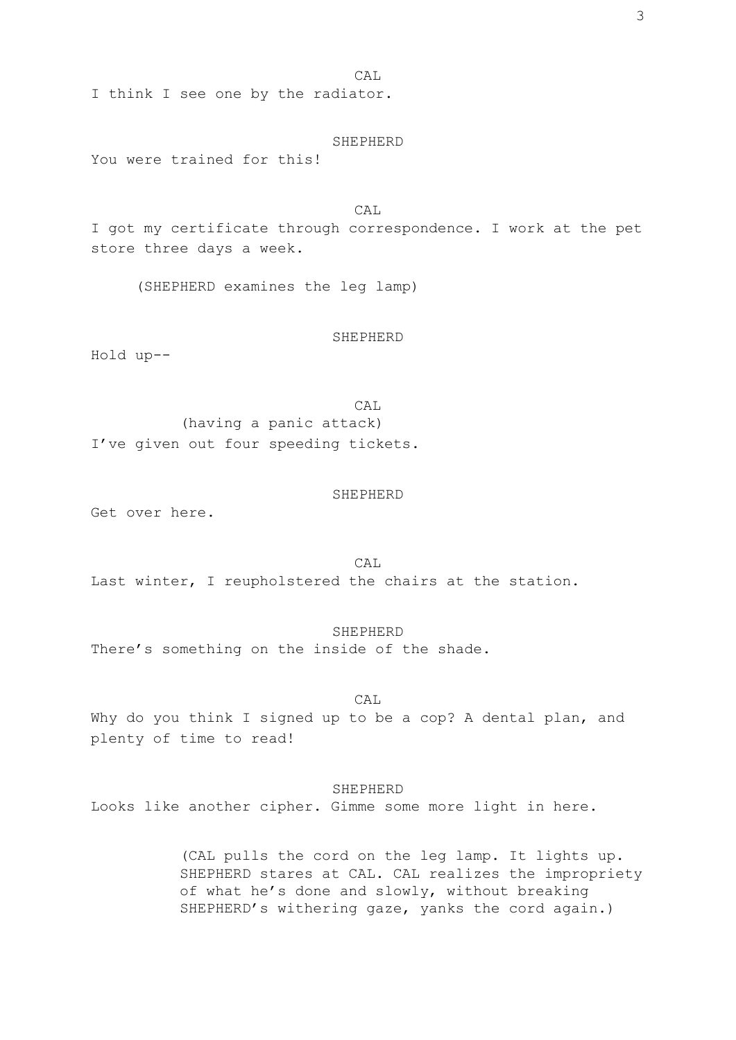CAL

I think I see one by the radiator.

#### SHEPHERD

You were trained for this!

CAL I got my certificate through correspondence. I work at the pet store three days a week.

(SHEPHERD examines the leg lamp)

## SHEPHERD

Hold up--

CAL (having a panic attack) I've given out four speeding tickets.

#### SHEPHERD

Get over here.

CAL Last winter, I reupholstered the chairs at the station.

## SHEPHERD

There's something on the inside of the shade.

## CAL

Why do you think I signed up to be a cop? A dental plan, and plenty of time to read!

## SHEPHERD

Looks like another cipher. Gimme some more light in here.

(CAL pulls the cord on the leg lamp. It lights up. SHEPHERD stares at CAL. CAL realizes the impropriety of what he's done and slowly, without breaking SHEPHERD's withering gaze, yanks the cord again.)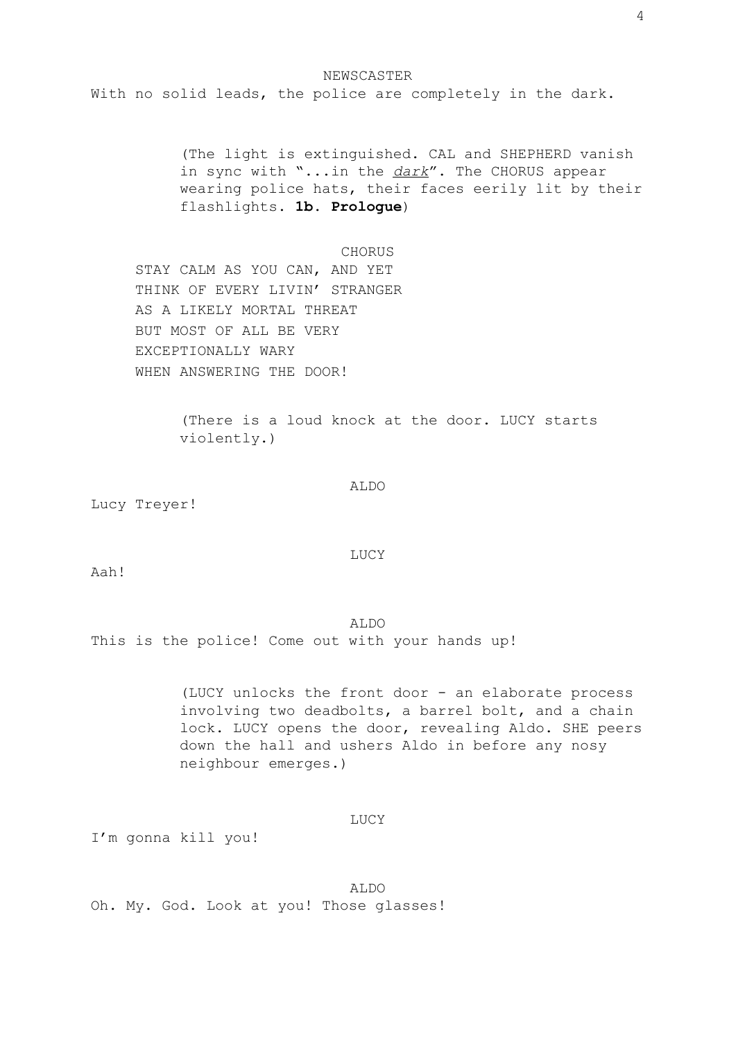NEWSCASTER With no solid leads, the police are completely in the dark.

> (The light is extinguished. CAL and SHEPHERD vanish in sync with "...in the *dark*". The CHORUS appear wearing police hats, their faces eerily lit by their flashlights. **1b. Prologue**)

#### CHORUS

STAY CALM AS YOU CAN, AND YET THINK OF EVERY LIVIN' STRANGER AS A LIKELY MORTAL THREAT BUT MOST OF ALL BE VERY EXCEPTIONALLY WARY WHEN ANSWERING THE DOOR!

> (There is a loud knock at the door. LUCY starts violently.)

> > ALDO

Lucy Treyer!

LUCY

Aah!

## ALDO

This is the police! Come out with your hands up!

(LUCY unlocks the front door - an elaborate process involving two deadbolts, a barrel bolt, and a chain lock. LUCY opens the door, revealing Aldo. SHE peers down the hall and ushers Aldo in before any nosy neighbour emerges.)

LUCY

I'm gonna kill you!

ALDO Oh. My. God. Look at you! Those glasses!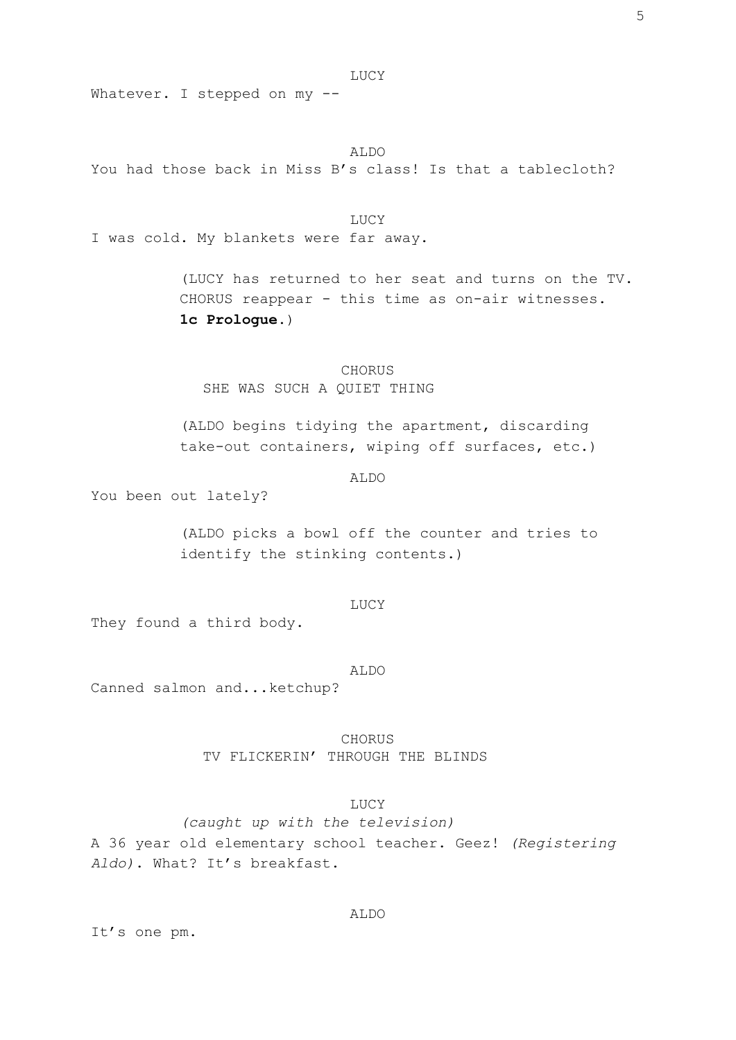Whatever. I stepped on my --

ALDO You had those back in Miss B's class! Is that a tablecloth?

LUCY I was cold. My blankets were far away.

> (LUCY has returned to her seat and turns on the TV. CHORUS reappear - this time as on-air witnesses. **1c Prologue.**)

CHORUS SHE WAS SUCH A QUIET THING

(ALDO begins tidying the apartment, discarding take-out containers, wiping off surfaces, etc.)

ALDO

You been out lately?

(ALDO picks a bowl off the counter and tries to identify the stinking contents.)

LUCY

They found a third body.

ALDO

Canned salmon and...ketchup?

CHORUS TV FLICKERIN' THROUGH THE BLINDS

# LUCY

ALDO

*(caught up with the television)* A 36 year old elementary school teacher. Geez! *(Registering Aldo)*. What? It's breakfast.

It's one pm.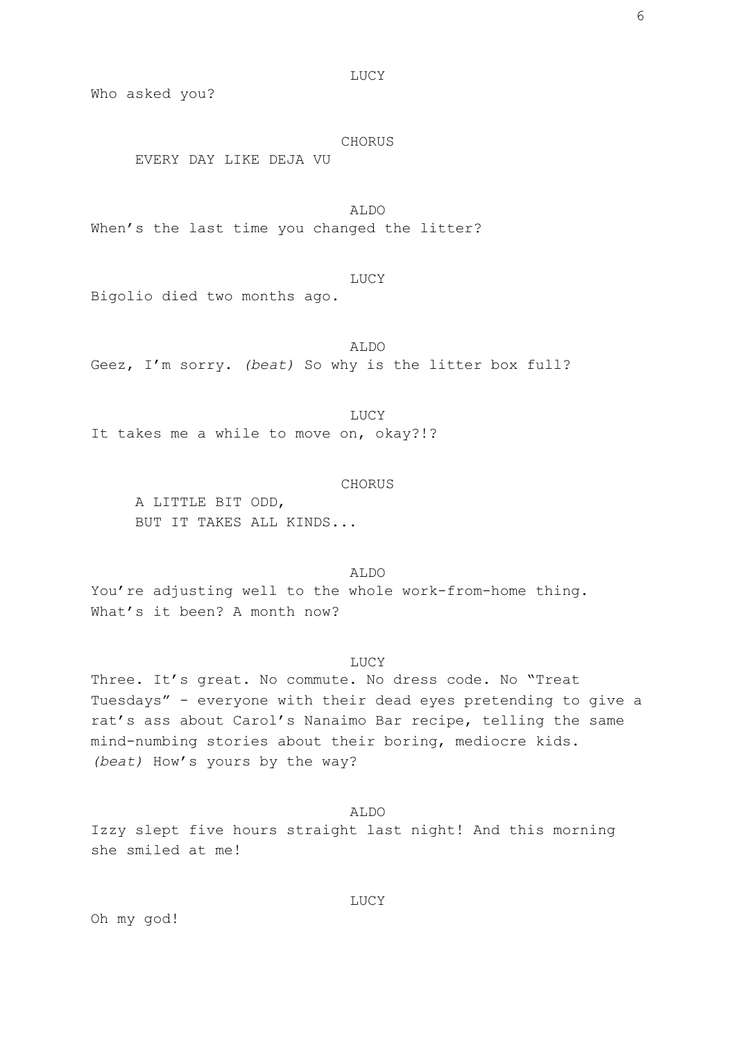Who asked you?

## CHORUS

EVERY DAY LIKE DEJA VU

ALDO When's the last time you changed the litter?

LUCY Bigolio died two months ago.

ALDO Geez, I'm sorry. *(beat)* So why is the litter box full?

LUCY It takes me a while to move on, okay?!?

## CHORUS

A LITTLE BIT ODD, BUT IT TAKES ALL KINDS...

ALDO You're adjusting well to the whole work-from-home thing. What's it been? A month now?

## LUCY

Three. It's great. No commute. No dress code. No "Treat Tuesdays" - everyone with their dead eyes pretending to give a rat's ass about Carol's Nanaimo Bar recipe, telling the same mind-numbing stories about their boring, mediocre kids. *(beat)* How's yours by the way?

## ALDO

Izzy slept five hours straight last night! And this morning she smiled at me!

Oh my god!

LUCY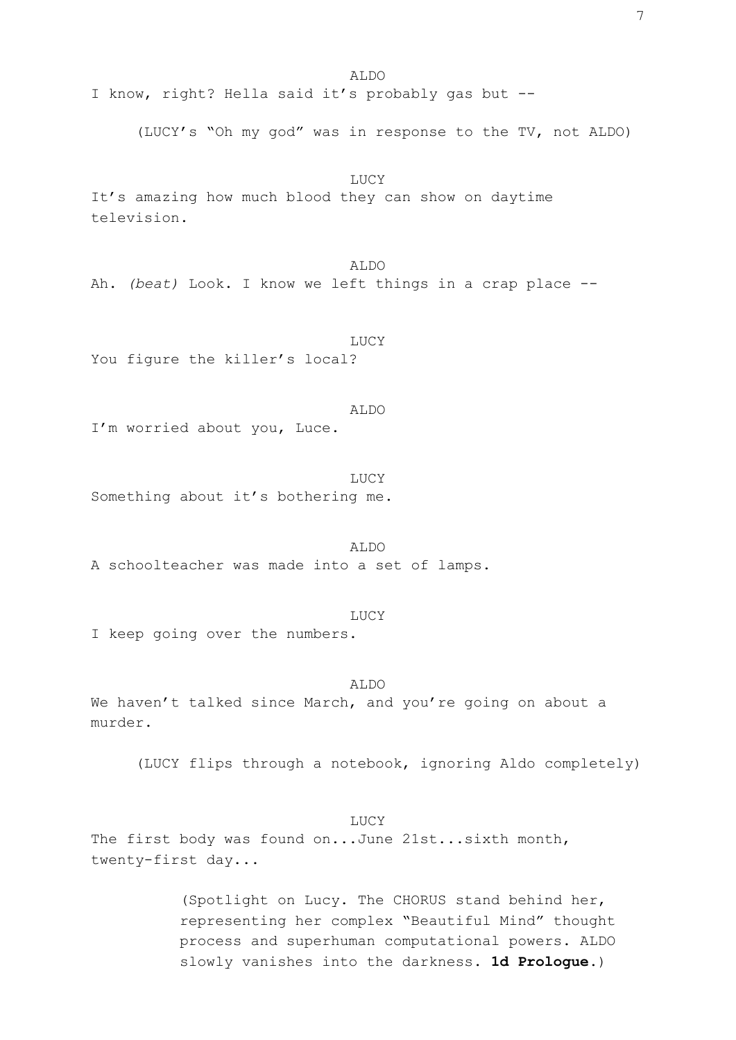ALDO I know, right? Hella said it's probably gas but -- (LUCY's "Oh my god" was in response to the TV, not ALDO) LUCY It's amazing how much blood they can show on daytime television. ALDO Ah. *(beat)* Look. I know we left things in a crap place -- LUCY You figure the killer's local? ALDO I'm worried about you, Luce. LUCY Something about it's bothering me. ALDO A schoolteacher was made into a set of lamps.

LUCY I keep going over the numbers.

ALDO We haven't talked since March, and you're going on about a murder.

(LUCY flips through a notebook, ignoring Aldo completely)

LUCY The first body was found on...June 21st...sixth month, twenty-first day...

> (Spotlight on Lucy. The CHORUS stand behind her, representing her complex "Beautiful Mind" thought process and superhuman computational powers. ALDO slowly vanishes into the darkness. **1d Prologue.**)

7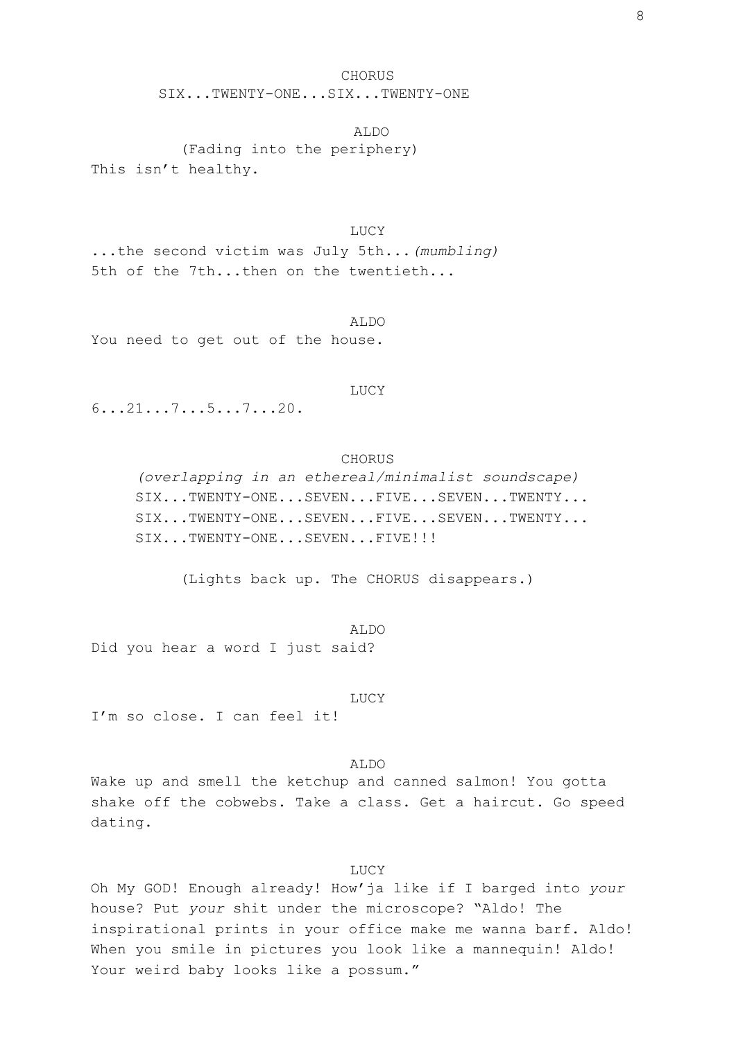# CHORUS SIX...TWENTY-ONE...SIX...TWENTY-ONE

ALDO (Fading into the periphery) This isn't healthy.

LUCY ...the second victim was July 5th...*(mumbling)* 5th of the 7th...then on the twentieth...

ALDO You need to get out of the house.

#### LUCY

6...21...7...5...7...20.

# CHORUS

*(overlapping in an ethereal/minimalist soundscape)* SIX...TWENTY-ONE...SEVEN...FIVE...SEVEN...TWENTY... SIX...TWENTY-ONE...SEVEN...FIVE...SEVEN...TWENTY... SIX...TWENTY-ONE...SEVEN...FIVE!!!

(Lights back up. The CHORUS disappears.)

ALDO Did you hear a word I just said?

LUCY I'm so close. I can feel it!

ALDO

Wake up and smell the ketchup and canned salmon! You gotta shake off the cobwebs. Take a class. Get a haircut. Go speed dating.

## LUCY

Oh My GOD! Enough already! How'ja like if I barged into *your* house? Put *your* shit under the microscope? "Aldo! The inspirational prints in your office make me wanna barf. Aldo! When you smile in pictures you look like a mannequin! Aldo! Your weird baby looks like a possum."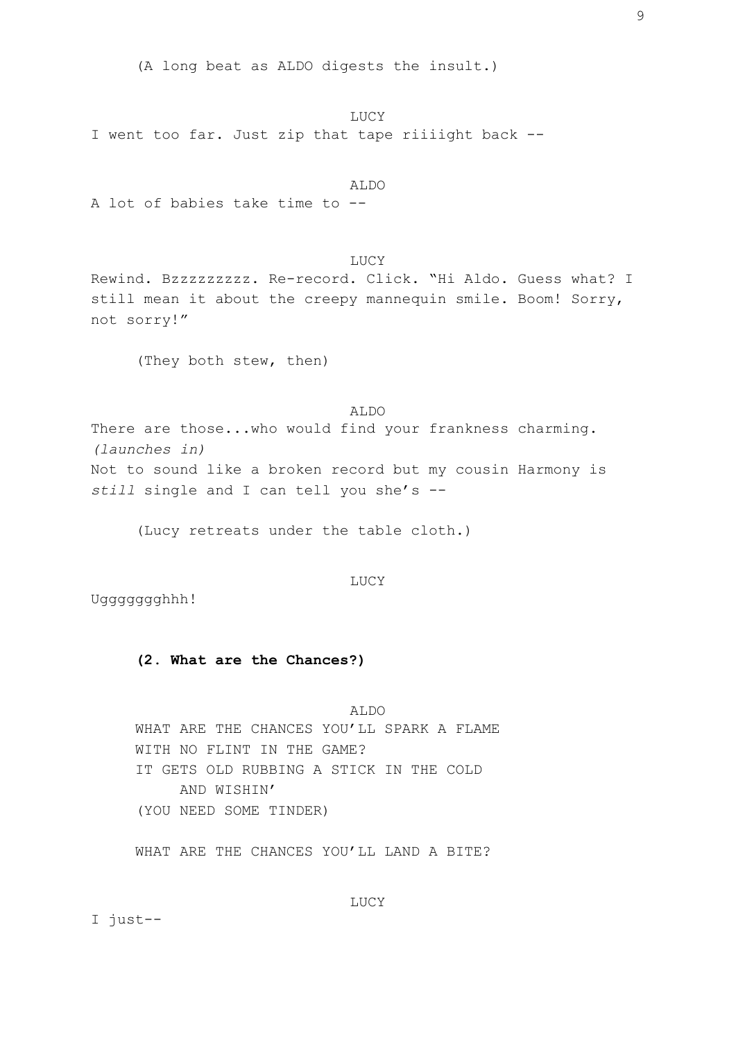(A long beat as ALDO digests the insult.)

LUCY I went too far. Just zip that tape riiiight back --

ALDO A lot of babies take time to --

LUCY Rewind. Bzzzzzzzzz. Re-record. Click. "Hi Aldo. Guess what? I still mean it about the creepy mannequin smile. Boom! Sorry, not sorry!"

(They both stew, then)

ALDO There are those...who would find your frankness charming. *(launches in)* Not to sound like a broken record but my cousin Harmony is *still* single and I can tell you she's --

(Lucy retreats under the table cloth.)

LUCY

Uggggggghhh!

## **(2. What are the Chances?)**

ALDO WHAT ARE THE CHANCES YOU'LL SPARK A FLAME WITH NO FLINT IN THE GAME? IT GETS OLD RUBBING A STICK IN THE COLD AND WISHIN' (YOU NEED SOME TINDER)

WHAT ARE THE CHANCES YOU'LL LAND A BITE?

LUCY

I just--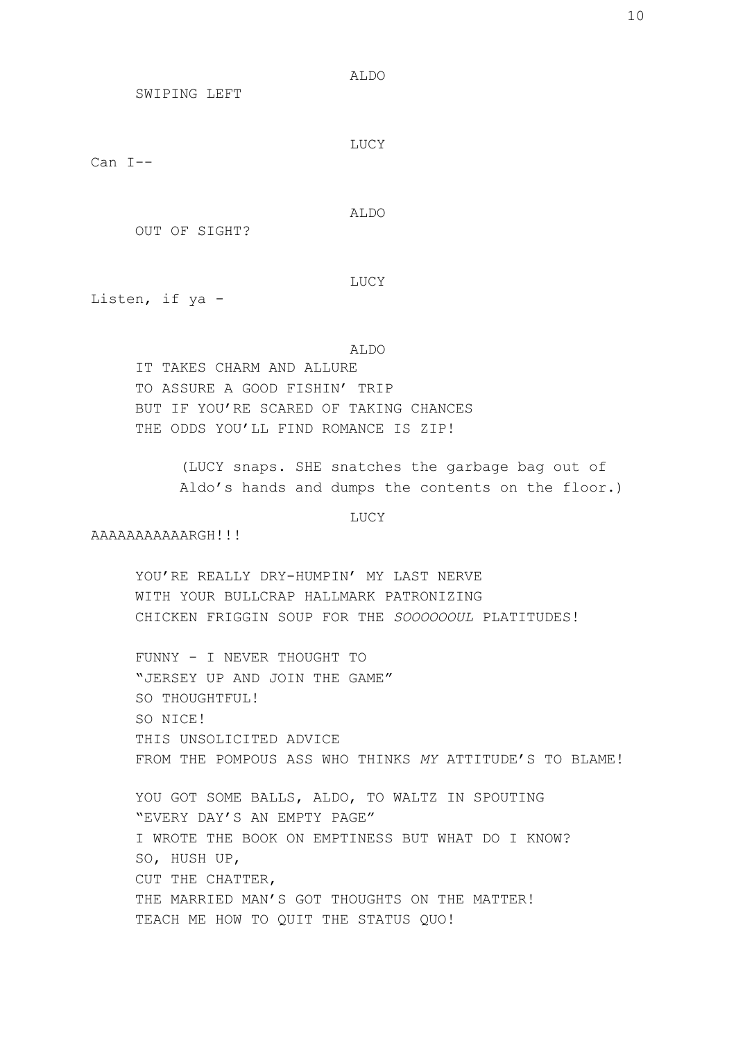ALDO

SWIPING LEFT

LUCY

Can I--

ALDO

LUCY

OUT OF SIGHT?

Listen, if ya -

ALDO

IT TAKES CHARM AND ALLURE TO ASSURE A GOOD FISHIN' TRIP BUT IF YOU'RE SCARED OF TAKING CHANCES THE ODDS YOU'LL FIND ROMANCE IS ZIP!

> (LUCY snaps. SHE snatches the garbage bag out of Aldo's hands and dumps the contents on the floor.)

> > LUCY

AAAAAAAAAAARGH!!!

YOU'RE REALLY DRY-HUMPIN' MY LAST NERVE WITH YOUR BULLCRAP HALLMARK PATRONIZING CHICKEN FRIGGIN SOUP FOR THE *SOOOOOOUL* PLATITUDES!

FUNNY - I NEVER THOUGHT TO "JERSEY UP AND JOIN THE GAME" SO THOUGHTFUL! SO NICE! THIS UNSOLICITED ADVICE FROM THE POMPOUS ASS WHO THINKS *MY* ATTITUDE'S TO BLAME!

YOU GOT SOME BALLS, ALDO, TO WALTZ IN SPOUTING "EVERY DAY'S AN EMPTY PAGE" I WROTE THE BOOK ON EMPTINESS BUT WHAT DO I KNOW? SO, HUSH UP, CUT THE CHATTER, THE MARRIED MAN'S GOT THOUGHTS ON THE MATTER! TEACH ME HOW TO QUIT THE STATUS QUO!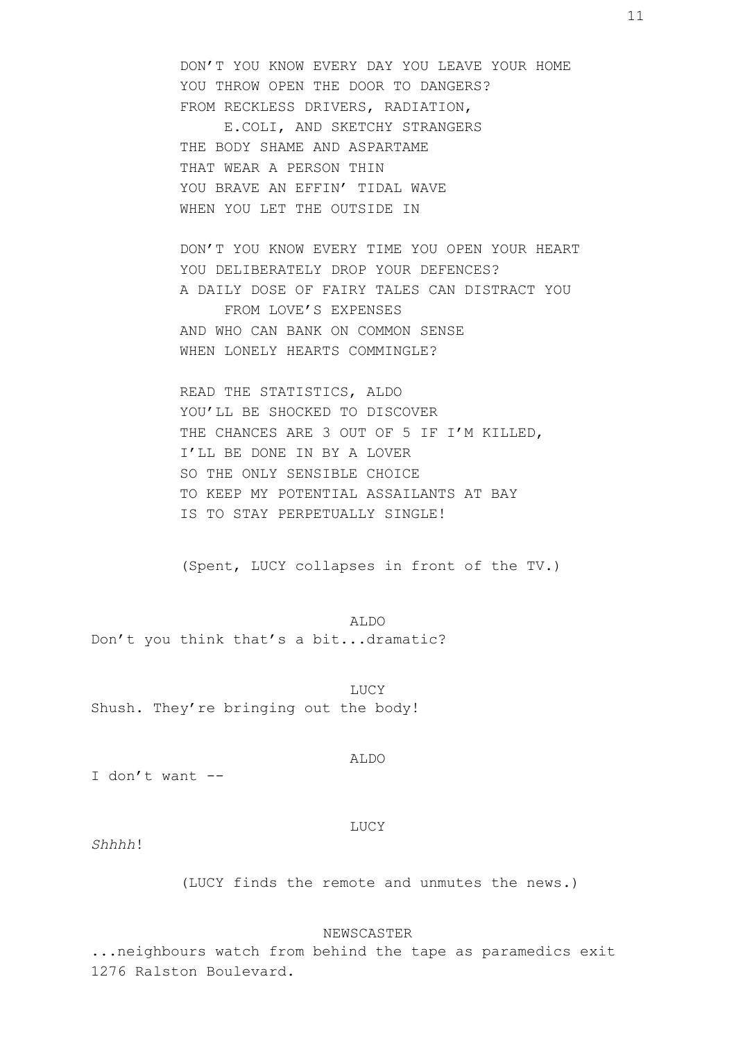DON'T YOU KNOW EVERY DAY YOU LEAVE YOUR HOME YOU THROW OPEN THE DOOR TO DANGERS? FROM RECKLESS DRIVERS, RADIATION, E.COLI, AND SKETCHY STRANGERS THE BODY SHAME AND ASPARTAME THAT WEAR A PERSON THIN YOU BRAVE AN EFFIN' TIDAL WAVE WHEN YOU LET THE OUTSIDE IN

DON'T YOU KNOW EVERY TIME YOU OPEN YOUR HEART YOU DELIBERATELY DROP YOUR DEFENCES? A DAILY DOSE OF FAIRY TALES CAN DISTRACT YOU FROM LOVE'S EXPENSES AND WHO CAN BANK ON COMMON SENSE WHEN LONELY HEARTS COMMINGLE?

READ THE STATISTICS, ALDO YOU'LL BE SHOCKED TO DISCOVER THE CHANCES ARE 3 OUT OF 5 IF I'M KILLED, I'LL BE DONE IN BY A LOVER SO THE ONLY SENSIBLE CHOICE TO KEEP MY POTENTIAL ASSAILANTS AT BAY IS TO STAY PERPETUALLY SINGLE!

(Spent, LUCY collapses in front of the TV.)

ALDO Don't you think that's a bit...dramatic?

LUCY Shush. They're bringing out the body!

I don't want --

LUCY

ALDO

*Shhhh*!

(LUCY finds the remote and unmutes the news.)

NEWSCASTER

...neighbours watch from behind the tape as paramedics exit 1276 Ralston Boulevard.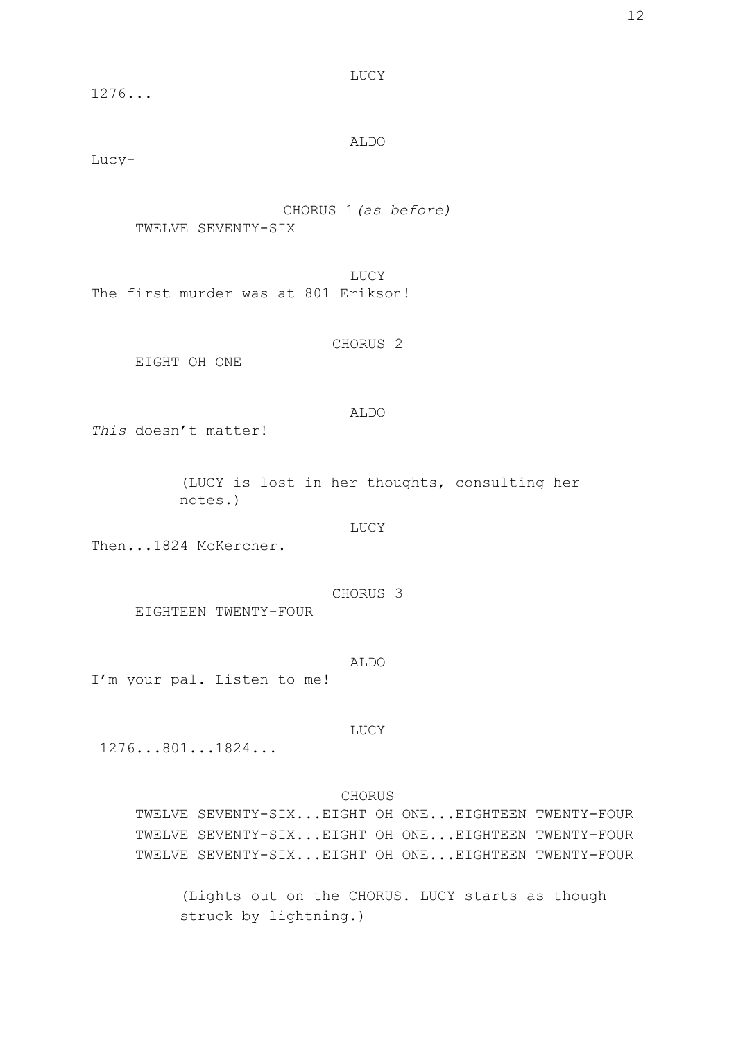1276...

LUCY

ALDO

Lucy-

CHORUS 1*(as before)* TWELVE SEVENTY-SIX

LUCY The first murder was at 801 Erikson!

CHORUS 2

EIGHT OH ONE

## ALDO

*This* doesn't matter!

(LUCY is lost in her thoughts, consulting her notes.)

LUCY

Then...1824 McKercher.

CHORUS 3 EIGHTEEN TWENTY-FOUR

### ALDO

I'm your pal. Listen to me!

LUCY

1276...801...1824...

## CHORUS

TWELVE SEVENTY-SIX...EIGHT OH ONE...EIGHTEEN TWENTY-FOUR TWELVE SEVENTY-SIX...EIGHT OH ONE...EIGHTEEN TWENTY-FOUR TWELVE SEVENTY-SIX...EIGHT OH ONE...EIGHTEEN TWENTY-FOUR

(Lights out on the CHORUS. LUCY starts as though struck by lightning.)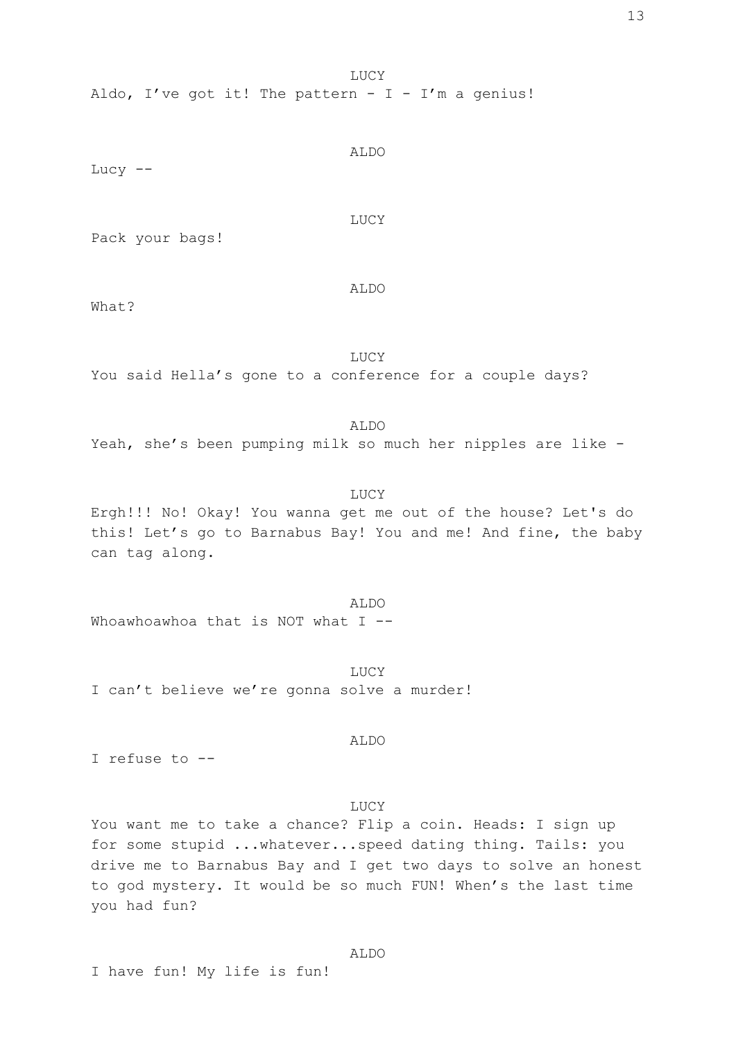Aldo, I've got it! The pattern -  $I - I'm$  a genius!

Lucy  $--$ 

Pack your bags!

ALDO

ALDO

LUCY

What?

LUCY You said Hella's gone to a conference for a couple days?

ALDO Yeah, she's been pumping milk so much her nipples are like -

LUCY Ergh!!! No! Okay! You wanna get me out of the house? Let's do this! Let's go to Barnabus Bay! You and me! And fine, the baby can tag along.

ALDO Whoawhoawhoa that is NOT what I --

LUCY I can't believe we're gonna solve a murder!

ALDO

I refuse to --

# LUCY

You want me to take a chance? Flip a coin. Heads: I sign up for some stupid ...whatever...speed dating thing. Tails: you drive me to Barnabus Bay and I get two days to solve an honest to god mystery. It would be so much FUN! When's the last time you had fun?

I have fun! My life is fun!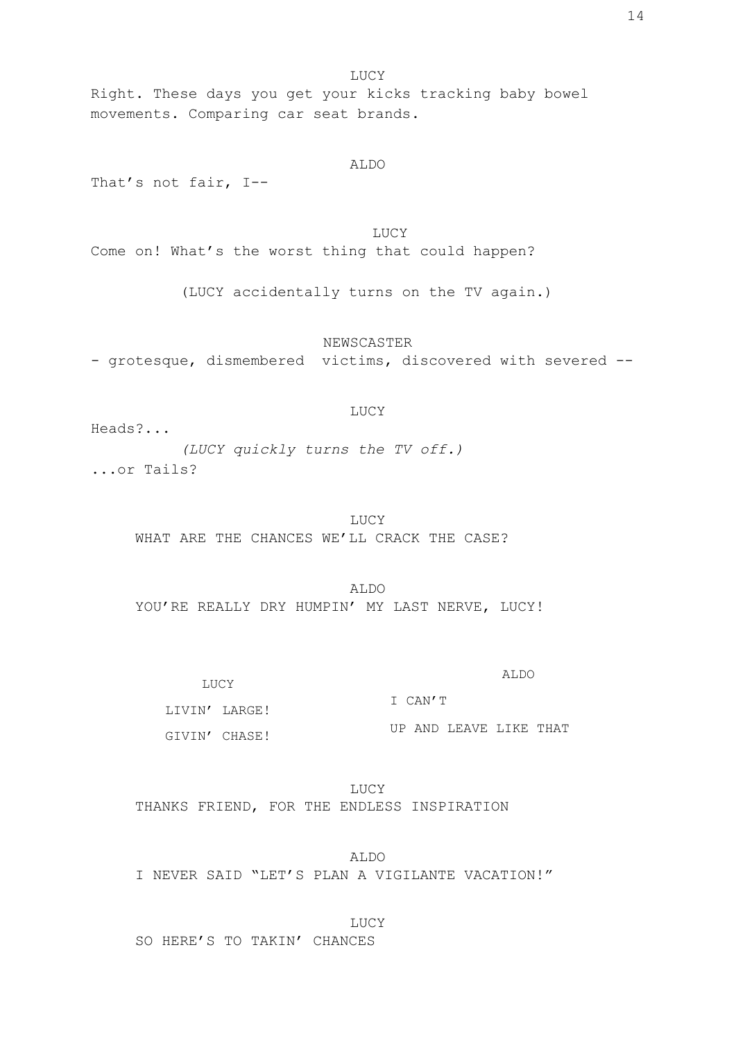Right. These days you get your kicks tracking baby bowel movements. Comparing car seat brands.

That's not fair, I--

LUCY Come on! What's the worst thing that could happen?

(LUCY accidentally turns on the TV again.)

ALDO

NEWSCASTER - grotesque, dismembered victims, discovered with severed --

## LUCY

Heads?... *(LUCY quickly turns the TV off.)* ...or Tails?

> LUCY WHAT ARE THE CHANCES WE'LL CRACK THE CASE?

ALDO YOU'RE REALLY DRY HUMPIN' MY LAST NERVE, LUCY!

LUCY LIVIN' LARGE! GIVIN' CHASE! ALDO I CAN'T UP AND LEAVE LIKE THAT

LUCY THANKS FRIEND, FOR THE ENDLESS INSPIRATION

ALDO I NEVER SAID "LET'S PLAN A VIGILANTE VACATION!"

LUCY

SO HERE'S TO TAKIN' CHANCES